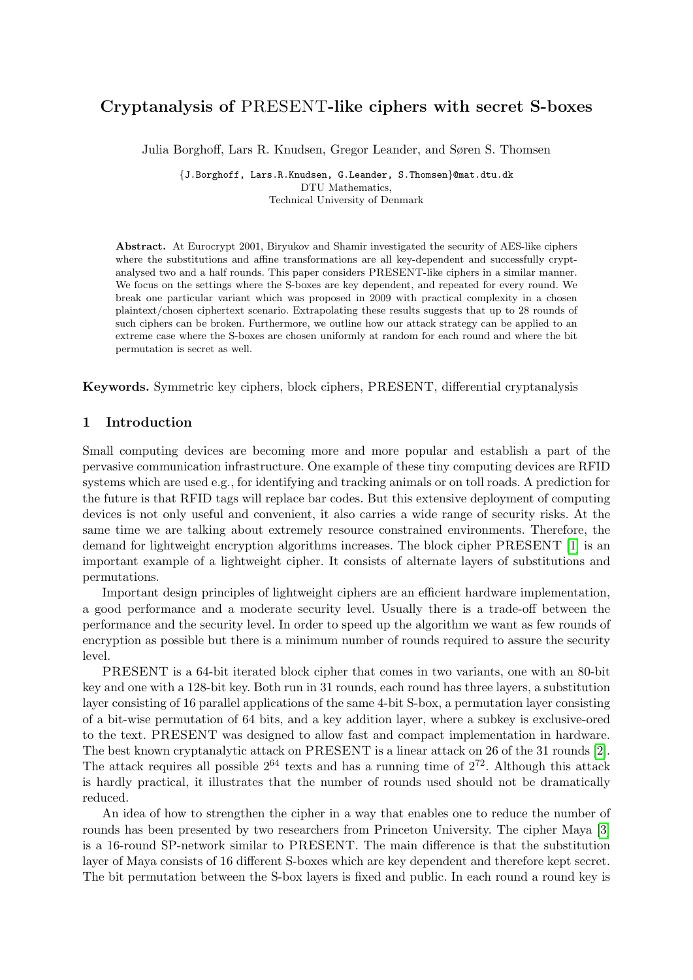# Cryptanalysis of PRESENT-like ciphers with secret S-boxes

Julia Borghoff, Lars R. Knudsen, Gregor Leander, and Søren S. Thomsen

{J.Borghoff, Lars.R.Knudsen, G.Leander, S.Thomsen}@mat.dtu.dk DTU Mathematics, Technical University of Denmark

Abstract. At Eurocrypt 2001, Biryukov and Shamir investigated the security of AES-like ciphers where the substitutions and affine transformations are all key-dependent and successfully cryptanalysed two and a half rounds. This paper considers PRESENT-like ciphers in a similar manner. We focus on the settings where the S-boxes are key dependent, and repeated for every round. We break one particular variant which was proposed in 2009 with practical complexity in a chosen plaintext/chosen ciphertext scenario. Extrapolating these results suggests that up to 28 rounds of such ciphers can be broken. Furthermore, we outline how our attack strategy can be applied to an extreme case where the S-boxes are chosen uniformly at random for each round and where the bit permutation is secret as well.

Keywords. Symmetric key ciphers, block ciphers, PRESENT, differential cryptanalysis

# 1 Introduction

Small computing devices are becoming more and more popular and establish a part of the pervasive communication infrastructure. One example of these tiny computing devices are RFID systems which are used e.g., for identifying and tracking animals or on toll roads. A prediction for the future is that RFID tags will replace bar codes. But this extensive deployment of computing devices is not only useful and convenient, it also carries a wide range of security risks. At the same time we are talking about extremely resource constrained environments. Therefore, the demand for lightweight encryption algorithms increases. The block cipher PRESENT [\[1\]](#page-13-0) is an important example of a lightweight cipher. It consists of alternate layers of substitutions and permutations.

Important design principles of lightweight ciphers are an efficient hardware implementation, a good performance and a moderate security level. Usually there is a trade-off between the performance and the security level. In order to speed up the algorithm we want as few rounds of encryption as possible but there is a minimum number of rounds required to assure the security level.

PRESENT is a 64-bit iterated block cipher that comes in two variants, one with an 80-bit key and one with a 128-bit key. Both run in 31 rounds, each round has three layers, a substitution layer consisting of 16 parallel applications of the same 4-bit S-box, a permutation layer consisting of a bit-wise permutation of 64 bits, and a key addition layer, where a subkey is exclusive-ored to the text. PRESENT was designed to allow fast and compact implementation in hardware. The best known cryptanalytic attack on PRESENT is a linear attack on 26 of the 31 rounds [\[2\]](#page-14-0). The attack requires all possible  $2^{64}$  texts and has a running time of  $2^{72}$ . Although this attack is hardly practical, it illustrates that the number of rounds used should not be dramatically reduced.

An idea of how to strengthen the cipher in a way that enables one to reduce the number of rounds has been presented by two researchers from Princeton University. The cipher Maya [\[3\]](#page-14-1) is a 16-round SP-network similar to PRESENT. The main difference is that the substitution layer of Maya consists of 16 different S-boxes which are key dependent and therefore kept secret. The bit permutation between the S-box layers is fixed and public. In each round a round key is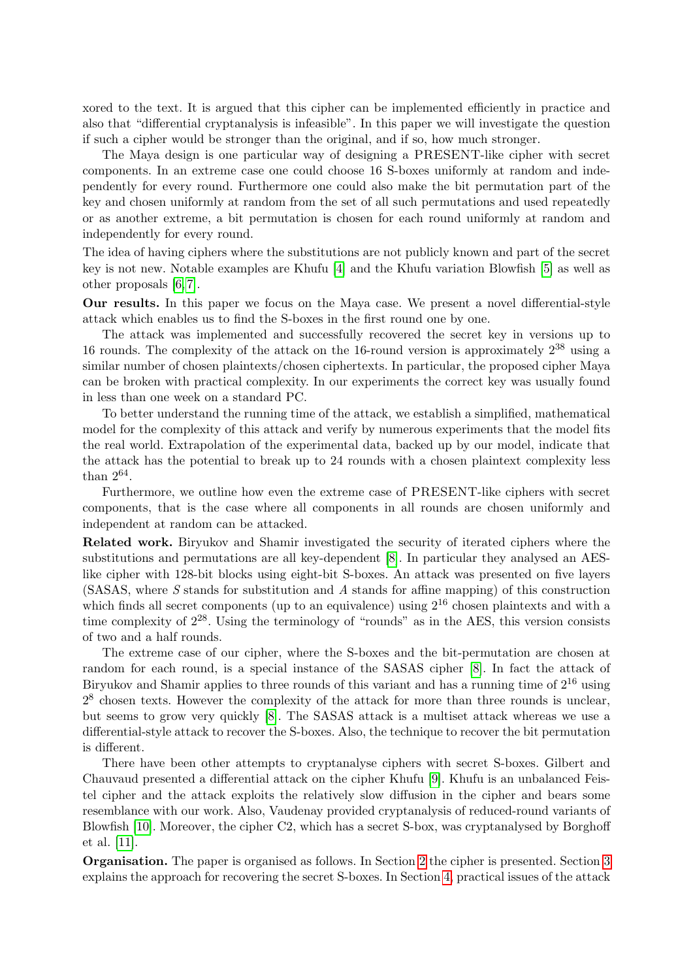xored to the text. It is argued that this cipher can be implemented efficiently in practice and also that "differential cryptanalysis is infeasible". In this paper we will investigate the question if such a cipher would be stronger than the original, and if so, how much stronger.

The Maya design is one particular way of designing a PRESENT-like cipher with secret components. In an extreme case one could choose 16 S-boxes uniformly at random and independently for every round. Furthermore one could also make the bit permutation part of the key and chosen uniformly at random from the set of all such permutations and used repeatedly or as another extreme, a bit permutation is chosen for each round uniformly at random and independently for every round.

The idea of having ciphers where the substitutions are not publicly known and part of the secret key is not new. Notable examples are Khufu [\[4\]](#page-14-2) and the Khufu variation Blowfish [\[5\]](#page-14-3) as well as other proposals [\[6,](#page-14-4) [7\]](#page-14-5).

Our results. In this paper we focus on the Maya case. We present a novel differential-style attack which enables us to find the S-boxes in the first round one by one.

The attack was implemented and successfully recovered the secret key in versions up to 16 rounds. The complexity of the attack on the 16-round version is approximately 2<sup>38</sup> using a similar number of chosen plaintexts/chosen ciphertexts. In particular, the proposed cipher Maya can be broken with practical complexity. In our experiments the correct key was usually found in less than one week on a standard PC.

To better understand the running time of the attack, we establish a simplified, mathematical model for the complexity of this attack and verify by numerous experiments that the model fits the real world. Extrapolation of the experimental data, backed up by our model, indicate that the attack has the potential to break up to 24 rounds with a chosen plaintext complexity less than  $2^{64}$ .

Furthermore, we outline how even the extreme case of PRESENT-like ciphers with secret components, that is the case where all components in all rounds are chosen uniformly and independent at random can be attacked.

Related work. Biryukov and Shamir investigated the security of iterated ciphers where the substitutions and permutations are all key-dependent [\[8\]](#page-14-6). In particular they analysed an AESlike cipher with 128-bit blocks using eight-bit S-boxes. An attack was presented on five layers (SASAS, where S stands for substitution and A stands for affine mapping) of this construction which finds all secret components (up to an equivalence) using  $2^{16}$  chosen plaintexts and with a time complexity of  $2^{28}$ . Using the terminology of "rounds" as in the AES, this version consists of two and a half rounds.

The extreme case of our cipher, where the S-boxes and the bit-permutation are chosen at random for each round, is a special instance of the SASAS cipher [\[8\]](#page-14-6). In fact the attack of Biryukov and Shamir applies to three rounds of this variant and has a running time of  $2^{16}$  using  $2<sup>8</sup>$  chosen texts. However the complexity of the attack for more than three rounds is unclear, but seems to grow very quickly [\[8\]](#page-14-6). The SASAS attack is a multiset attack whereas we use a differential-style attack to recover the S-boxes. Also, the technique to recover the bit permutation is different.

There have been other attempts to cryptanalyse ciphers with secret S-boxes. Gilbert and Chauvaud presented a differential attack on the cipher Khufu [\[9\]](#page-14-7). Khufu is an unbalanced Feistel cipher and the attack exploits the relatively slow diffusion in the cipher and bears some resemblance with our work. Also, Vaudenay provided cryptanalysis of reduced-round variants of Blowfish [\[10\]](#page-14-8). Moreover, the cipher C2, which has a secret S-box, was cryptanalysed by Borghoff et al. [\[11\]](#page-14-9).

Organisation. The paper is organised as follows. In Section [2](#page-2-0) the cipher is presented. Section [3](#page-3-0) explains the approach for recovering the secret S-boxes. In Section [4,](#page-6-0) practical issues of the attack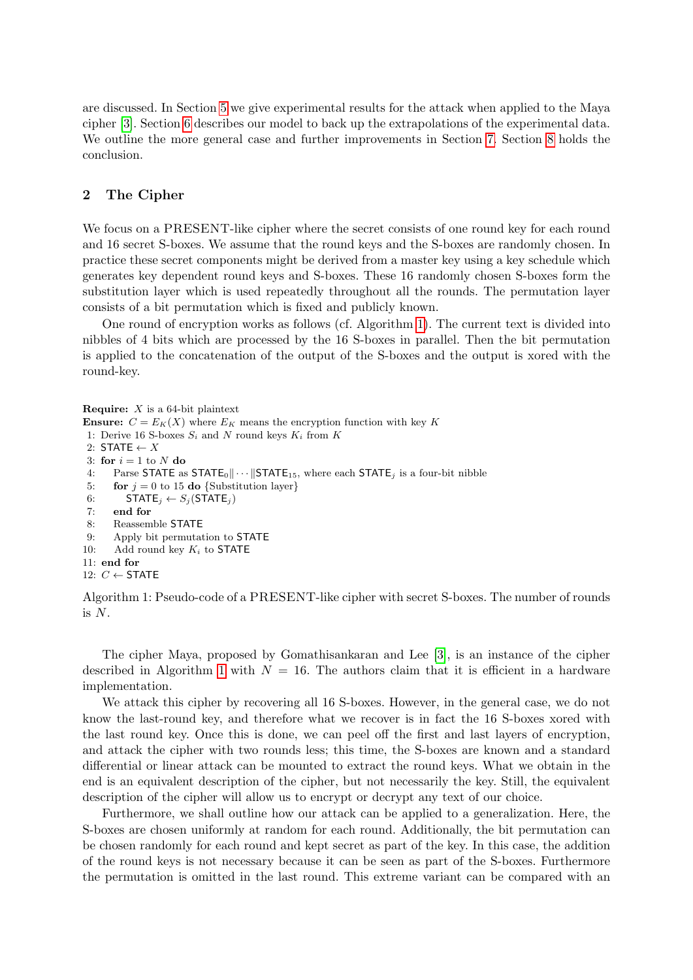are discussed. In Section [5](#page-7-0) we give experimental results for the attack when applied to the Maya cipher [\[3\]](#page-14-1). Section [6](#page-9-0) describes our model to back up the extrapolations of the experimental data. We outline the more general case and further improvements in Section [7.](#page-11-0) Section [8](#page-13-1) holds the conclusion.

# <span id="page-2-0"></span>2 The Cipher

We focus on a PRESENT-like cipher where the secret consists of one round key for each round and 16 secret S-boxes. We assume that the round keys and the S-boxes are randomly chosen. In practice these secret components might be derived from a master key using a key schedule which generates key dependent round keys and S-boxes. These 16 randomly chosen S-boxes form the substitution layer which is used repeatedly throughout all the rounds. The permutation layer consists of a bit permutation which is fixed and publicly known.

One round of encryption works as follows (cf. Algorithm [1\)](#page-2-1). The current text is divided into nibbles of 4 bits which are processed by the 16 S-boxes in parallel. Then the bit permutation is applied to the concatenation of the output of the S-boxes and the output is xored with the round-key.

```
Require: X is a 64-bit plaintext
Ensure: C = E_K(X) where E_K means the encryption function with key K
1: Derive 16 S-boxes S_i and N round keys K_i from K
2: STATE \leftarrow X
3: for i = 1 to N do
4: Parse STATE as STATE_0\Vert \cdots \Vert STATE_{15}, where each STATE<sub>i</sub> is a four-bit nibble
5: for j = 0 to 15 do {Substitution layer}
6: \mathsf{STATE}_j \leftarrow S_j(\mathsf{STATE}_j)7: end for
8: Reassemble STATE
9: Apply bit permutation to STATE
10: Add round key K_i to STATE
11: end for
12: C \leftarrow STATE
```
Algorithm 1: Pseudo-code of a PRESENT-like cipher with secret S-boxes. The number of rounds is  $N$ .

The cipher Maya, proposed by Gomathisankaran and Lee [\[3\]](#page-14-1), is an instance of the cipher described in Algorithm [1](#page-2-1) with  $N = 16$ . The authors claim that it is efficient in a hardware implementation.

We attack this cipher by recovering all 16 S-boxes. However, in the general case, we do not know the last-round key, and therefore what we recover is in fact the 16 S-boxes xored with the last round key. Once this is done, we can peel off the first and last layers of encryption, and attack the cipher with two rounds less; this time, the S-boxes are known and a standard differential or linear attack can be mounted to extract the round keys. What we obtain in the end is an equivalent description of the cipher, but not necessarily the key. Still, the equivalent description of the cipher will allow us to encrypt or decrypt any text of our choice.

Furthermore, we shall outline how our attack can be applied to a generalization. Here, the S-boxes are chosen uniformly at random for each round. Additionally, the bit permutation can be chosen randomly for each round and kept secret as part of the key. In this case, the addition of the round keys is not necessary because it can be seen as part of the S-boxes. Furthermore the permutation is omitted in the last round. This extreme variant can be compared with an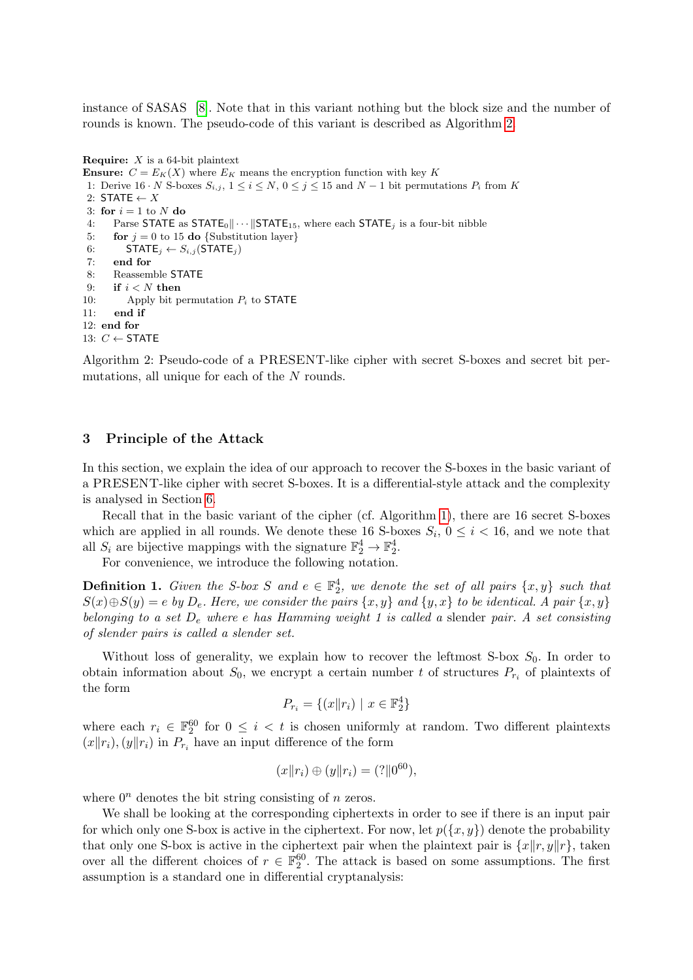instance of SASAS [\[8\]](#page-14-6). Note that in this variant nothing but the block size and the number of rounds is known. The pseudo-code of this variant is described as Algorithm [2.](#page-3-1)

```
Require: X is a 64-bit plaintext
Ensure: C = E_K(X) where E_K means the encryption function with key K
1: Derive 16 \cdot N S-boxes S_{i,j}, 1 \leq i \leq N, 0 \leq j \leq 15 and N-1 bit permutations P_i from K
2: STATE \leftarrow X
3: for i = 1 to N do
4: Parse STATE as STATE_0\|\cdots\|STATE_{15}, where each STATE_i is a four-bit nibble
5: for j = 0 to 15 do {Substitution layer}
6: \mathsf{STATE}_i \leftarrow S_{i,j}(\mathsf{STATE}_i)7: end for
8: Reassemble STATE
9: if i < N then
10: Apply bit permutation P_i to STATE
11: end if
12: end for
13: C \leftarrow STATE
```
Algorithm 2: Pseudo-code of a PRESENT-like cipher with secret S-boxes and secret bit permutations, all unique for each of the N rounds.

# <span id="page-3-0"></span>3 Principle of the Attack

In this section, we explain the idea of our approach to recover the S-boxes in the basic variant of a PRESENT-like cipher with secret S-boxes. It is a differential-style attack and the complexity is analysed in Section [6.](#page-9-0)

Recall that in the basic variant of the cipher (cf. Algorithm [1\)](#page-2-1), there are 16 secret S-boxes which are applied in all rounds. We denote these 16 S-boxes  $S_i$ ,  $0 \leq i < 16$ , and we note that all  $S_i$  are bijective mappings with the signature  $\mathbb{F}_2^4 \to \mathbb{F}_2^4$ .

For convenience, we introduce the following notation.

**Definition 1.** Given the S-box S and  $e \in \mathbb{F}_2^4$ , we denote the set of all pairs  $\{x, y\}$  such that  $S(x) \oplus S(y) = e$  by  $D_e$ . Here, we consider the pairs  $\{x, y\}$  and  $\{y, x\}$  to be identical. A pair  $\{x, y\}$ belonging to a set  $D_e$  where e has Hamming weight 1 is called a slender pair. A set consisting of slender pairs is called a slender set.

Without loss of generality, we explain how to recover the leftmost S-box  $S_0$ . In order to obtain information about  $S_0$ , we encrypt a certain number t of structures  $P_{r_i}$  of plaintexts of the form

$$
P_{r_i} = \{(x \| r_i) \mid x \in \mathbb{F}_2^4\}
$$

where each  $r_i \in \mathbb{F}_2^{60}$  for  $0 \leq i < t$  is chosen uniformly at random. Two different plaintexts  $(x||r_i)$ ,  $(y||r_i)$  in  $P_{r_i}$  have an input difference of the form

<span id="page-3-2"></span>
$$
(x||r_i) \oplus (y||r_i) = (?||0^{60}),
$$

where  $0^n$  denotes the bit string consisting of n zeros.

We shall be looking at the corresponding ciphertexts in order to see if there is an input pair for which only one S-box is active in the ciphertext. For now, let  $p(\lbrace x, y \rbrace)$  denote the probability that only one S-box is active in the ciphertext pair when the plaintext pair is  $\{x||r, y||r\}$ , taken over all the different choices of  $r \in \mathbb{F}_2^{60}$ . The attack is based on some assumptions. The first assumption is a standard one in differential cryptanalysis: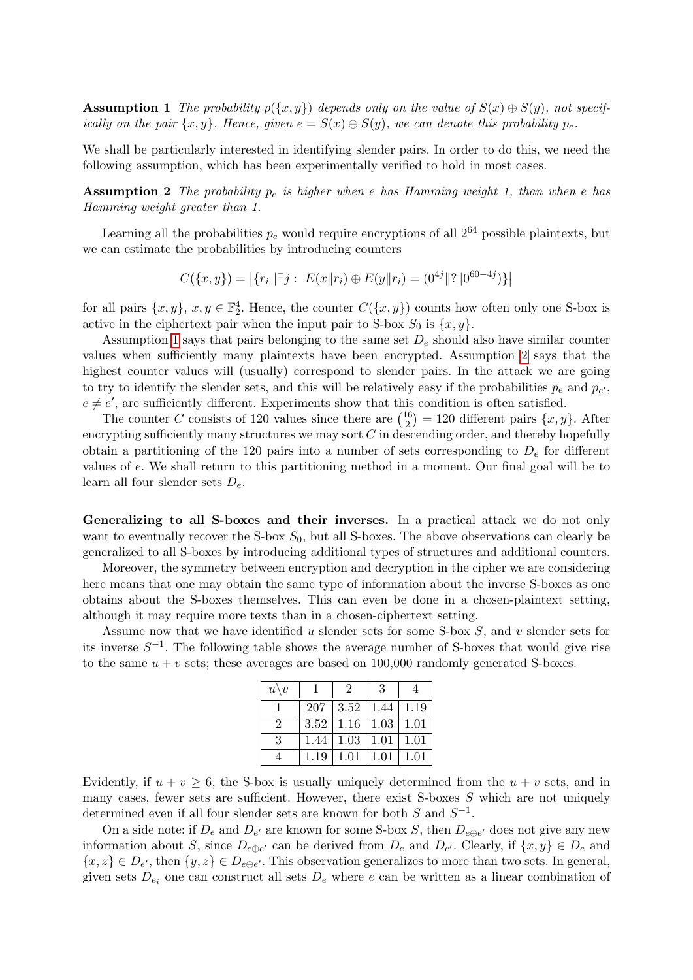**Assumption 1** The probability  $p({x, y})$  depends only on the value of  $S(x) \oplus S(y)$ , not specifically on the pair  $\{x, y\}$ . Hence, given  $e = S(x) \oplus S(y)$ , we can denote this probability  $p_e$ .

We shall be particularly interested in identifying slender pairs. In order to do this, we need the following assumption, which has been experimentally verified to hold in most cases.

**Assumption 2** The probability  $p_e$  is higher when e has Hamming weight 1, than when e has Hamming weight greater than 1.

Learning all the probabilities  $p_e$  would require encryptions of all  $2^{64}$  possible plaintexts, but we can estimate the probabilities by introducing counters

<span id="page-4-0"></span>
$$
C({x, y}) = |{r_i | \exists j : E(x || r_i) \oplus E(y || r_i) = (0^{4j} || ? || 0^{60-4j})}
$$

for all pairs  $\{x, y\}$ ,  $x, y \in \mathbb{F}_2^4$ . Hence, the counter  $C(\{x, y\})$  counts how often only one S-box is active in the ciphertext pair when the input pair to S-box  $S_0$  is  $\{x, y\}$ .

Assumption [1](#page-3-2) says that pairs belonging to the same set  $D_e$  should also have similar counter values when sufficiently many plaintexts have been encrypted. Assumption [2](#page-4-0) says that the highest counter values will (usually) correspond to slender pairs. In the attack we are going to try to identify the slender sets, and this will be relatively easy if the probabilities  $p_e$  and  $p_{e'}$ ,  $e \neq e'$ , are sufficiently different. Experiments show that this condition is often satisfied.

The counter C consists of 120 values since there are  $\binom{16}{2}$  $\binom{16}{2}$  = 120 different pairs  $\{x, y\}$ . After encrypting sufficiently many structures we may sort  $C$  in descending order, and thereby hopefully obtain a partitioning of the 120 pairs into a number of sets corresponding to  $D<sub>e</sub>$  for different values of e. We shall return to this partitioning method in a moment. Our final goal will be to learn all four slender sets  $D_e$ .

Generalizing to all S-boxes and their inverses. In a practical attack we do not only want to eventually recover the S-box  $S_0$ , but all S-boxes. The above observations can clearly be generalized to all S-boxes by introducing additional types of structures and additional counters.

Moreover, the symmetry between encryption and decryption in the cipher we are considering here means that one may obtain the same type of information about the inverse S-boxes as one obtains about the S-boxes themselves. This can even be done in a chosen-plaintext setting, although it may require more texts than in a chosen-ciphertext setting.

Assume now that we have identified  $u$  slender sets for some S-box  $S$ , and  $v$  slender sets for its inverse  $S^{-1}$ . The following table shows the average number of S-boxes that would give rise to the same  $u + v$  sets; these averages are based on 100,000 randomly generated S-boxes.

| $u \backslash v$ |      |                    | -3   |       |  |  |
|------------------|------|--------------------|------|-------|--|--|
|                  | 207  | $\mid$ 3.52 $\mid$ | 1.44 | 1.19  |  |  |
|                  | 3.52 | 1.16               | 1.03 | 1.01  |  |  |
| К                | 1.44 | 1.03               | 1.01 | 1.01  |  |  |
|                  | 1.19 | 1.01               | 1.01 | L O 1 |  |  |

Evidently, if  $u + v \ge 6$ , the S-box is usually uniquely determined from the  $u + v$  sets, and in many cases, fewer sets are sufficient. However, there exist S-boxes  $S$  which are not uniquely determined even if all four slender sets are known for both  $S$  and  $S^{-1}$ .

On a side note: if  $D_e$  and  $D_{e'}$  are known for some S-box S, then  $D_{e \oplus e'}$  does not give any new information about S, since  $D_{e \oplus e'}$  can be derived from  $D_e$  and  $D_{e'}$ . Clearly, if  $\{x, y\} \in D_e$  and  $\{x, z\} \in D_{e'}$ , then  $\{y, z\} \in D_{e \oplus e'}$ . This observation generalizes to more than two sets. In general, given sets  $D_{e_i}$  one can construct all sets  $D_e$  where e can be written as a linear combination of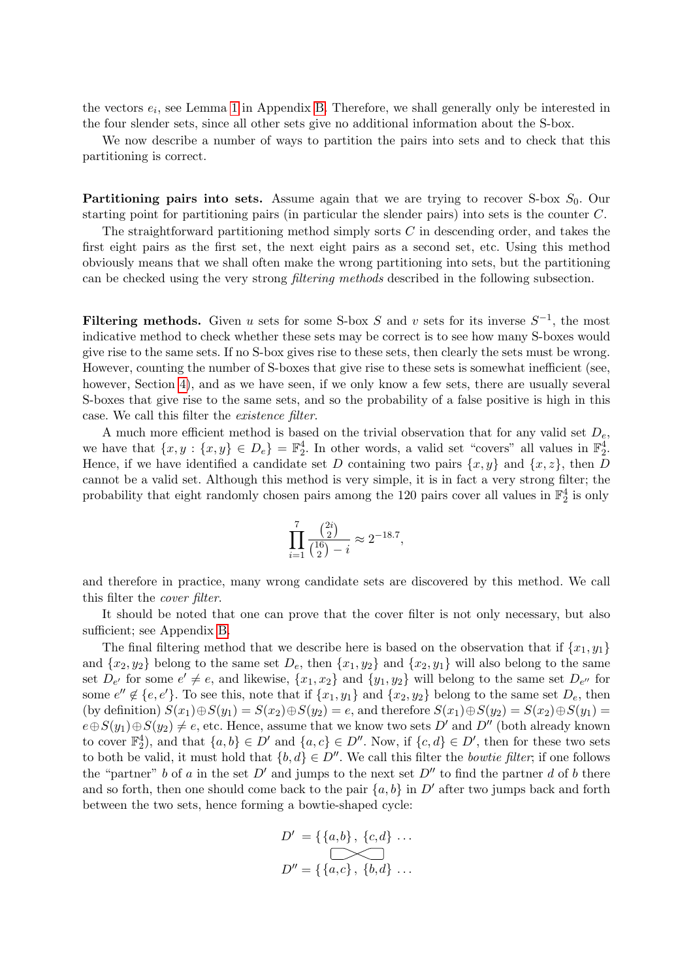the vectors  $e_i$ , see Lemma [1](#page-15-0) in Appendix [B.](#page-15-1) Therefore, we shall generally only be interested in the four slender sets, since all other sets give no additional information about the S-box.

We now describe a number of ways to partition the pairs into sets and to check that this partitioning is correct.

**Partitioning pairs into sets.** Assume again that we are trying to recover S-box  $S_0$ . Our starting point for partitioning pairs (in particular the slender pairs) into sets is the counter C.

The straightforward partitioning method simply sorts C in descending order, and takes the first eight pairs as the first set, the next eight pairs as a second set, etc. Using this method obviously means that we shall often make the wrong partitioning into sets, but the partitioning can be checked using the very strong filtering methods described in the following subsection.

Filtering methods. Given u sets for some S-box S and v sets for its inverse  $S^{-1}$ , the most indicative method to check whether these sets may be correct is to see how many S-boxes would give rise to the same sets. If no S-box gives rise to these sets, then clearly the sets must be wrong. However, counting the number of S-boxes that give rise to these sets is somewhat inefficient (see, however, Section [4\)](#page-6-0), and as we have seen, if we only know a few sets, there are usually several S-boxes that give rise to the same sets, and so the probability of a false positive is high in this case. We call this filter the existence filter.

A much more efficient method is based on the trivial observation that for any valid set  $D_e$ , we have that  $\{x, y : \{x, y\} \in D_e\} = \mathbb{F}_2^4$ . In other words, a valid set "covers" all values in  $\mathbb{F}_2^4$ . Hence, if we have identified a candidate set D containing two pairs  $\{x, y\}$  and  $\{x, z\}$ , then D cannot be a valid set. Although this method is very simple, it is in fact a very strong filter; the probability that eight randomly chosen pairs among the 120 pairs cover all values in  $\mathbb{F}_2^4$  is only

$$
\prod_{i=1}^{7} \frac{\binom{2i}{2}}{\binom{16}{2} - i} \approx 2^{-18.7},
$$

and therefore in practice, many wrong candidate sets are discovered by this method. We call this filter the cover filter.

It should be noted that one can prove that the cover filter is not only necessary, but also sufficient; see Appendix [B.](#page-15-1)

The final filtering method that we describe here is based on the observation that if  $\{x_1, y_1\}$ and  $\{x_2, y_2\}$  belong to the same set  $D_e$ , then  $\{x_1, y_2\}$  and  $\{x_2, y_1\}$  will also belong to the same set  $D_{e'}$  for some  $e' \neq e$ , and likewise,  $\{x_1, x_2\}$  and  $\{y_1, y_2\}$  will belong to the same set  $D_{e''}$  for some  $e'' \notin \{e, e'\}$ . To see this, note that if  $\{x_1, y_1\}$  and  $\{x_2, y_2\}$  belong to the same set  $D_e$ , then (by definition)  $S(x_1) \oplus S(y_1) = S(x_2) \oplus S(y_2) = e$ , and therefore  $S(x_1) \oplus S(y_2) = S(x_2) \oplus S(y_1) = e$  $e \oplus S(y_1) \oplus S(y_2) \neq e$ , etc. Hence, assume that we know two sets D' and D'' (both already known to cover  $\mathbb{F}_2^4$ , and that  $\{a, b\} \in D'$  and  $\{a, c\} \in D''$ . Now, if  $\{c, d\} \in D'$ , then for these two sets to both be valid, it must hold that  $\{b, d\} \in D''$ . We call this filter the *bowtie filter*; if one follows the "partner" b of a in the set D' and jumps to the next set  $D''$  to find the partner d of b there and so forth, then one should come back to the pair  $\{a, b\}$  in D' after two jumps back and forth between the two sets, hence forming a bowtie-shaped cycle:

$$
D' = \{ \{a, b\}, \{c, d\} \dots
$$
  

$$
D'' = \{ \{a, c\}, \{b, d\} \dots
$$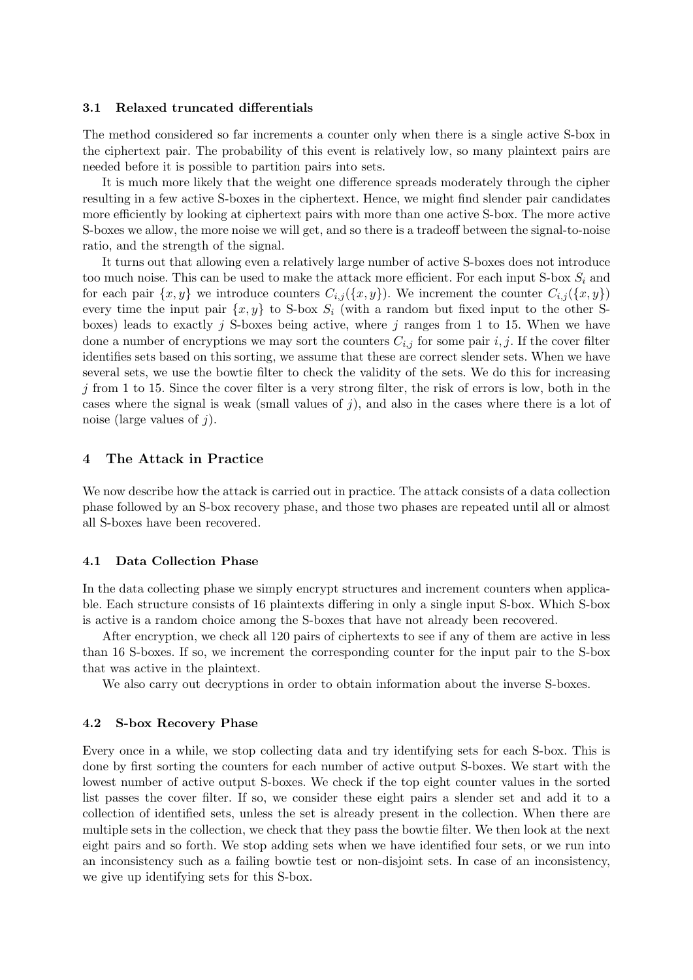#### 3.1 Relaxed truncated differentials

The method considered so far increments a counter only when there is a single active S-box in the ciphertext pair. The probability of this event is relatively low, so many plaintext pairs are needed before it is possible to partition pairs into sets.

It is much more likely that the weight one difference spreads moderately through the cipher resulting in a few active S-boxes in the ciphertext. Hence, we might find slender pair candidates more efficiently by looking at ciphertext pairs with more than one active S-box. The more active S-boxes we allow, the more noise we will get, and so there is a tradeoff between the signal-to-noise ratio, and the strength of the signal.

It turns out that allowing even a relatively large number of active S-boxes does not introduce too much noise. This can be used to make the attack more efficient. For each input S-box  $S_i$  and for each pair  $\{x, y\}$  we introduce counters  $C_{i,j}(\{x, y\})$ . We increment the counter  $C_{i,j}(\{x, y\})$ every time the input pair  $\{x, y\}$  to S-box  $S_i$  (with a random but fixed input to the other Sboxes) leads to exactly j S-boxes being active, where j ranges from 1 to 15. When we have done a number of encryptions we may sort the counters  $C_{i,j}$  for some pair i, j. If the cover filter identifies sets based on this sorting, we assume that these are correct slender sets. When we have several sets, we use the bowtie filter to check the validity of the sets. We do this for increasing  $j$  from 1 to 15. Since the cover filter is a very strong filter, the risk of errors is low, both in the cases where the signal is weak (small values of  $j$ ), and also in the cases where there is a lot of noise (large values of  $j$ ).

### <span id="page-6-0"></span>4 The Attack in Practice

We now describe how the attack is carried out in practice. The attack consists of a data collection phase followed by an S-box recovery phase, and those two phases are repeated until all or almost all S-boxes have been recovered.

#### 4.1 Data Collection Phase

In the data collecting phase we simply encrypt structures and increment counters when applicable. Each structure consists of 16 plaintexts differing in only a single input S-box. Which S-box is active is a random choice among the S-boxes that have not already been recovered.

After encryption, we check all 120 pairs of ciphertexts to see if any of them are active in less than 16 S-boxes. If so, we increment the corresponding counter for the input pair to the S-box that was active in the plaintext.

We also carry out decryptions in order to obtain information about the inverse S-boxes.

#### 4.2 S-box Recovery Phase

Every once in a while, we stop collecting data and try identifying sets for each S-box. This is done by first sorting the counters for each number of active output S-boxes. We start with the lowest number of active output S-boxes. We check if the top eight counter values in the sorted list passes the cover filter. If so, we consider these eight pairs a slender set and add it to a collection of identified sets, unless the set is already present in the collection. When there are multiple sets in the collection, we check that they pass the bowtie filter. We then look at the next eight pairs and so forth. We stop adding sets when we have identified four sets, or we run into an inconsistency such as a failing bowtie test or non-disjoint sets. In case of an inconsistency, we give up identifying sets for this S-box.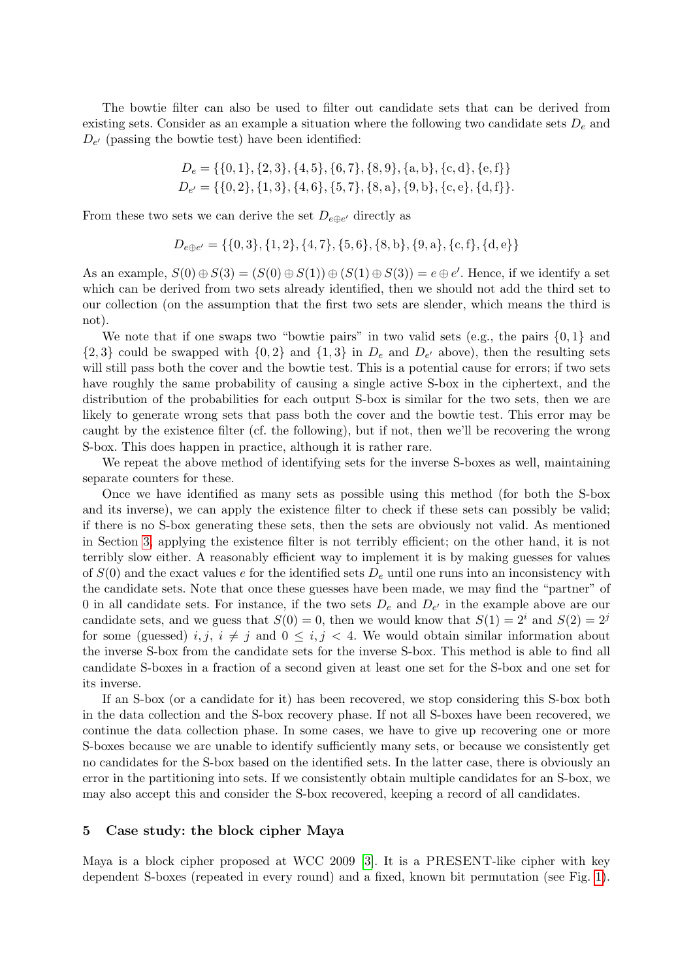The bowtie filter can also be used to filter out candidate sets that can be derived from existing sets. Consider as an example a situation where the following two candidate sets  $D_e$  and  $D_{e'}$  (passing the bowtie test) have been identified:

$$
D_e = \{\{0, 1\}, \{2, 3\}, \{4, 5\}, \{6, 7\}, \{8, 9\}, \{a, b\}, \{c, d\}, \{e, f\}\}
$$
  

$$
D_{e'} = \{\{0, 2\}, \{1, 3\}, \{4, 6\}, \{5, 7\}, \{8, a\}, \{9, b\}, \{c, e\}, \{d, f\}\}.
$$

From these two sets we can derive the set  $D_{e \oplus e'}$  directly as

$$
D_{e \oplus e'} = \{ \{0, 3\}, \{1, 2\}, \{4, 7\}, \{5, 6\}, \{8, b\}, \{9, a\}, \{c, f\}, \{d, e\} \}
$$

As an example,  $S(0) \oplus S(3) = (S(0) \oplus S(1)) \oplus (S(1) \oplus S(3)) = e \oplus e'$ . Hence, if we identify a set which can be derived from two sets already identified, then we should not add the third set to our collection (on the assumption that the first two sets are slender, which means the third is not).

We note that if one swaps two "bowtie pairs" in two valid sets (e.g., the pairs  $\{0,1\}$  and  $\{2,3\}$  could be swapped with  $\{0,2\}$  and  $\{1,3\}$  in  $D_e$  and  $D_{e'}$  above), then the resulting sets will still pass both the cover and the bowtie test. This is a potential cause for errors; if two sets have roughly the same probability of causing a single active S-box in the ciphertext, and the distribution of the probabilities for each output S-box is similar for the two sets, then we are likely to generate wrong sets that pass both the cover and the bowtie test. This error may be caught by the existence filter (cf. the following), but if not, then we'll be recovering the wrong S-box. This does happen in practice, although it is rather rare.

We repeat the above method of identifying sets for the inverse S-boxes as well, maintaining separate counters for these.

Once we have identified as many sets as possible using this method (for both the S-box and its inverse), we can apply the existence filter to check if these sets can possibly be valid; if there is no S-box generating these sets, then the sets are obviously not valid. As mentioned in Section [3,](#page-3-0) applying the existence filter is not terribly efficient; on the other hand, it is not terribly slow either. A reasonably efficient way to implement it is by making guesses for values of  $S(0)$  and the exact values e for the identified sets  $D_e$  until one runs into an inconsistency with the candidate sets. Note that once these guesses have been made, we may find the "partner" of 0 in all candidate sets. For instance, if the two sets  $D_e$  and  $D_{e'}$  in the example above are our candidate sets, and we guess that  $S(0) = 0$ , then we would know that  $S(1) = 2<sup>i</sup>$  and  $S(2) = 2<sup>j</sup>$ for some (guessed) i, j,  $i \neq j$  and  $0 \leq i, j < 4$ . We would obtain similar information about the inverse S-box from the candidate sets for the inverse S-box. This method is able to find all candidate S-boxes in a fraction of a second given at least one set for the S-box and one set for its inverse.

If an S-box (or a candidate for it) has been recovered, we stop considering this S-box both in the data collection and the S-box recovery phase. If not all S-boxes have been recovered, we continue the data collection phase. In some cases, we have to give up recovering one or more S-boxes because we are unable to identify sufficiently many sets, or because we consistently get no candidates for the S-box based on the identified sets. In the latter case, there is obviously an error in the partitioning into sets. If we consistently obtain multiple candidates for an S-box, we may also accept this and consider the S-box recovered, keeping a record of all candidates.

#### <span id="page-7-0"></span>5 Case study: the block cipher Maya

Maya is a block cipher proposed at WCC 2009 [\[3\]](#page-14-1). It is a PRESENT-like cipher with key dependent S-boxes (repeated in every round) and a fixed, known bit permutation (see Fig. [1\)](#page-8-0).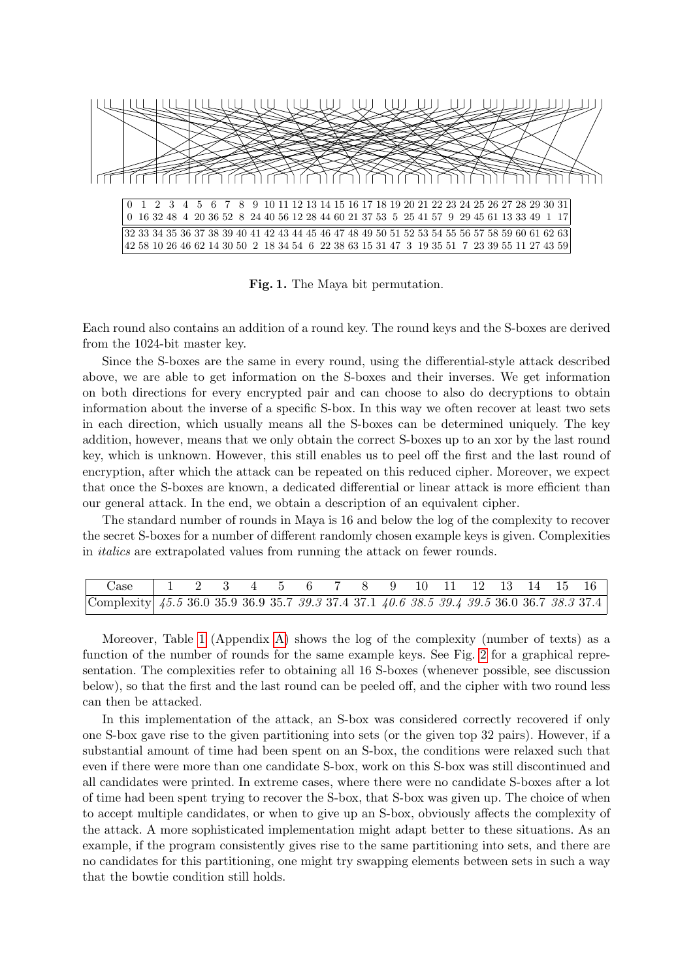

<span id="page-8-0"></span>Fig. 1. The Maya bit permutation.

Each round also contains an addition of a round key. The round keys and the S-boxes are derived from the 1024-bit master key.

Since the S-boxes are the same in every round, using the differential-style attack described above, we are able to get information on the S-boxes and their inverses. We get information on both directions for every encrypted pair and can choose to also do decryptions to obtain information about the inverse of a specific S-box. In this way we often recover at least two sets in each direction, which usually means all the S-boxes can be determined uniquely. The key addition, however, means that we only obtain the correct S-boxes up to an xor by the last round key, which is unknown. However, this still enables us to peel off the first and the last round of encryption, after which the attack can be repeated on this reduced cipher. Moreover, we expect that once the S-boxes are known, a dedicated differential or linear attack is more efficient than our general attack. In the end, we obtain a description of an equivalent cipher.

The standard number of rounds in Maya is 16 and below the log of the complexity to recover the secret S-boxes for a number of different randomly chosen example keys is given. Complexities in italics are extrapolated values from running the attack on fewer rounds.

| Complexity 45.5 36.0 35.9 36.9 35.7 39.3 37.4 37.1 40.6 38.5 39.4 39.5 36.0 36.7 38.3 37.4 |  |  |  |  |  |  |  |  |
|--------------------------------------------------------------------------------------------|--|--|--|--|--|--|--|--|

Moreover, Table [1](#page-15-2) (Appendix [A\)](#page-15-3) shows the log of the complexity (number of texts) as a function of the number of rounds for the same example keys. See Fig. [2](#page-9-1) for a graphical representation. The complexities refer to obtaining all 16 S-boxes (whenever possible, see discussion below), so that the first and the last round can be peeled off, and the cipher with two round less can then be attacked.

In this implementation of the attack, an S-box was considered correctly recovered if only one S-box gave rise to the given partitioning into sets (or the given top 32 pairs). However, if a substantial amount of time had been spent on an S-box, the conditions were relaxed such that even if there were more than one candidate S-box, work on this S-box was still discontinued and all candidates were printed. In extreme cases, where there were no candidate S-boxes after a lot of time had been spent trying to recover the S-box, that S-box was given up. The choice of when to accept multiple candidates, or when to give up an S-box, obviously affects the complexity of the attack. A more sophisticated implementation might adapt better to these situations. As an example, if the program consistently gives rise to the same partitioning into sets, and there are no candidates for this partitioning, one might try swapping elements between sets in such a way that the bowtie condition still holds.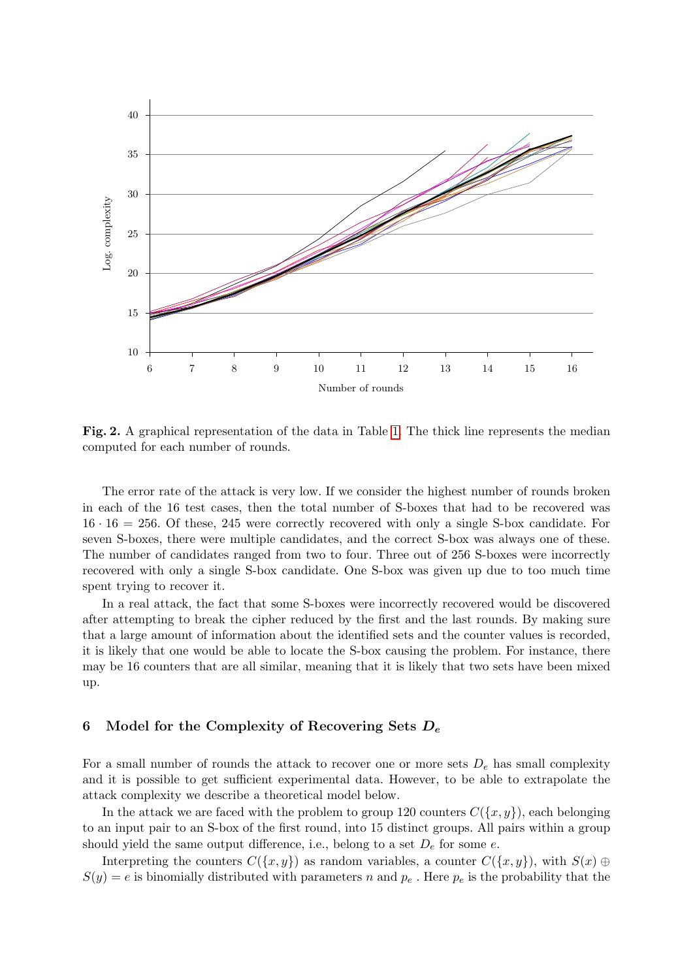

<span id="page-9-1"></span>Fig. 2. A graphical representation of the data in Table [1.](#page-15-2) The thick line represents the median computed for each number of rounds.

The error rate of the attack is very low. If we consider the highest number of rounds broken in each of the 16 test cases, then the total number of S-boxes that had to be recovered was  $16 \cdot 16 = 256$ . Of these, 245 were correctly recovered with only a single S-box candidate. For seven S-boxes, there were multiple candidates, and the correct S-box was always one of these. The number of candidates ranged from two to four. Three out of 256 S-boxes were incorrectly recovered with only a single S-box candidate. One S-box was given up due to too much time spent trying to recover it.

In a real attack, the fact that some S-boxes were incorrectly recovered would be discovered after attempting to break the cipher reduced by the first and the last rounds. By making sure that a large amount of information about the identified sets and the counter values is recorded, it is likely that one would be able to locate the S-box causing the problem. For instance, there may be 16 counters that are all similar, meaning that it is likely that two sets have been mixed up.

### <span id="page-9-0"></span>6 Model for the Complexity of Recovering Sets  $D_e$

For a small number of rounds the attack to recover one or more sets  $D_e$  has small complexity and it is possible to get sufficient experimental data. However, to be able to extrapolate the attack complexity we describe a theoretical model below.

In the attack we are faced with the problem to group 120 counters  $C({x, y})$ , each belonging to an input pair to an S-box of the first round, into 15 distinct groups. All pairs within a group should yield the same output difference, i.e., belong to a set  $D<sub>e</sub>$  for some e.

Interpreting the counters  $C({x, y})$  as random variables, a counter  $C({x, y})$ , with  $S(x) \oplus$  $S(y) = e$  is binomially distributed with parameters n and  $p_e$ . Here  $p_e$  is the probability that the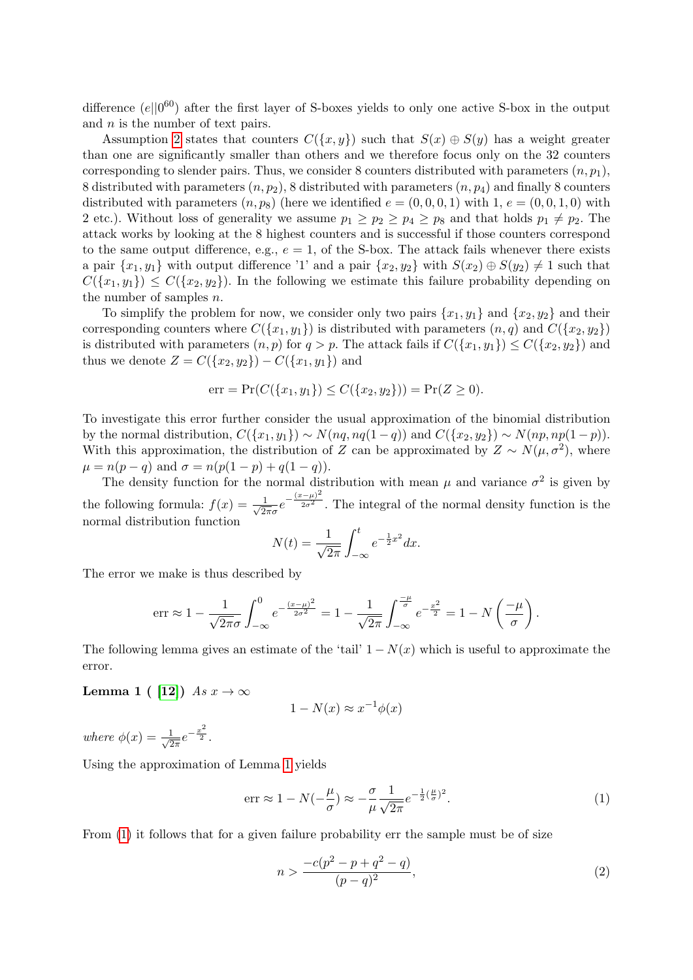difference  $(e||0^{60})$  after the first layer of S-boxes yields to only one active S-box in the output and  $n$  is the number of text pairs.

Assumption [2](#page-4-0) states that counters  $C({x, y}$  such that  $S(x) \oplus S(y)$  has a weight greater than one are significantly smaller than others and we therefore focus only on the 32 counters corresponding to slender pairs. Thus, we consider 8 counters distributed with parameters  $(n, p_1)$ , 8 distributed with parameters  $(n, p_2)$ , 8 distributed with parameters  $(n, p_4)$  and finally 8 counters distributed with parameters  $(n, p_8)$  (here we identified  $e = (0, 0, 0, 1)$  with  $1, e = (0, 0, 1, 0)$  with 2 etc.). Without loss of generality we assume  $p_1 \geq p_2 \geq p_4 \geq p_8$  and that holds  $p_1 \neq p_2$ . The attack works by looking at the 8 highest counters and is successful if those counters correspond to the same output difference, e.g.,  $e = 1$ , of the S-box. The attack fails whenever there exists a pair  $\{x_1, y_1\}$  with output difference '1' and a pair  $\{x_2, y_2\}$  with  $S(x_2) \oplus S(y_2) \neq 1$  such that  $C({x_1,y_1}) \leq C({x_2,y_2})$ . In the following we estimate this failure probability depending on the number of samples  $n$ .

To simplify the problem for now, we consider only two pairs  $\{x_1, y_1\}$  and  $\{x_2, y_2\}$  and their corresponding counters where  $C({x_1,y_1})$  is distributed with parameters  $(n,q)$  and  $C({x_2,y_2})$ is distributed with parameters  $(n, p)$  for  $q > p$ . The attack fails if  $C({x_1, y_1}) \leq C({x_2, y_2})$  and thus we denote  $Z = C({x_2,y_2}) - C({x_1,y_1})$  and

err = Pr(C({x<sub>1</sub>, y<sub>1</sub>}) 
$$
\leq C({x2, y2})
$$
) = Pr(Z  $\geq$  0).

To investigate this error further consider the usual approximation of the binomial distribution by the normal distribution,  $C({x_1,y_1}) \sim N(nq,nq(1-q))$  and  $C({x_2,y_2}) \sim N(np,np(1-p)).$ With this approximation, the distribution of Z can be approximated by  $Z \sim N(\mu, \sigma^2)$ , where  $\mu = n(p - q)$  and  $\sigma = n(p(1 - p) + q(1 - q)).$ 

The density function for the normal distribution with mean  $\mu$  and variance  $\sigma^2$  is given by the following formula:  $f(x) = \frac{1}{\sqrt{2}}$  $rac{1}{2\pi\sigma}e^{-\frac{(x-\mu)^2}{2\sigma^2}}$  $\overline{2\sigma^2}$ . The integral of the normal density function is the normal distribution function

$$
N(t) = \frac{1}{\sqrt{2\pi}} \int_{-\infty}^{t} e^{-\frac{1}{2}x^2} dx.
$$

The error we make is thus described by

$$
\text{err} \approx 1 - \frac{1}{\sqrt{2\pi}\sigma} \int_{-\infty}^{0} e^{-\frac{(x-\mu)^2}{2\sigma^2}} = 1 - \frac{1}{\sqrt{2\pi}} \int_{-\infty}^{\frac{-\mu}{\sigma}} e^{-\frac{x^2}{2}} = 1 - N \left(\frac{-\mu}{\sigma}\right).
$$

<span id="page-10-0"></span>The following lemma gives an estimate of the 'tail'  $1 - N(x)$  which is useful to approximate the error.

# Lemma 1 ( [\[12\]](#page-14-10))  $As x \to \infty$

$$
1 - N(x) \approx x^{-1} \phi(x)
$$

where  $\phi(x) = \frac{1}{\sqrt{2}}$  $\frac{1}{2\pi}e^{-\frac{x^2}{2}}.$ 

Using the approximation of Lemma [1](#page-10-0) yields

<span id="page-10-1"></span>
$$
\text{err} \approx 1 - N(-\frac{\mu}{\sigma}) \approx -\frac{\sigma}{\mu} \frac{1}{\sqrt{2\pi}} e^{-\frac{1}{2}(\frac{\mu}{\sigma})^2}.
$$
 (1)

From [\(1\)](#page-10-1) it follows that for a given failure probability err the sample must be of size

<span id="page-10-2"></span>
$$
n > \frac{-c(p^2 - p + q^2 - q)}{(p - q)^2},\tag{2}
$$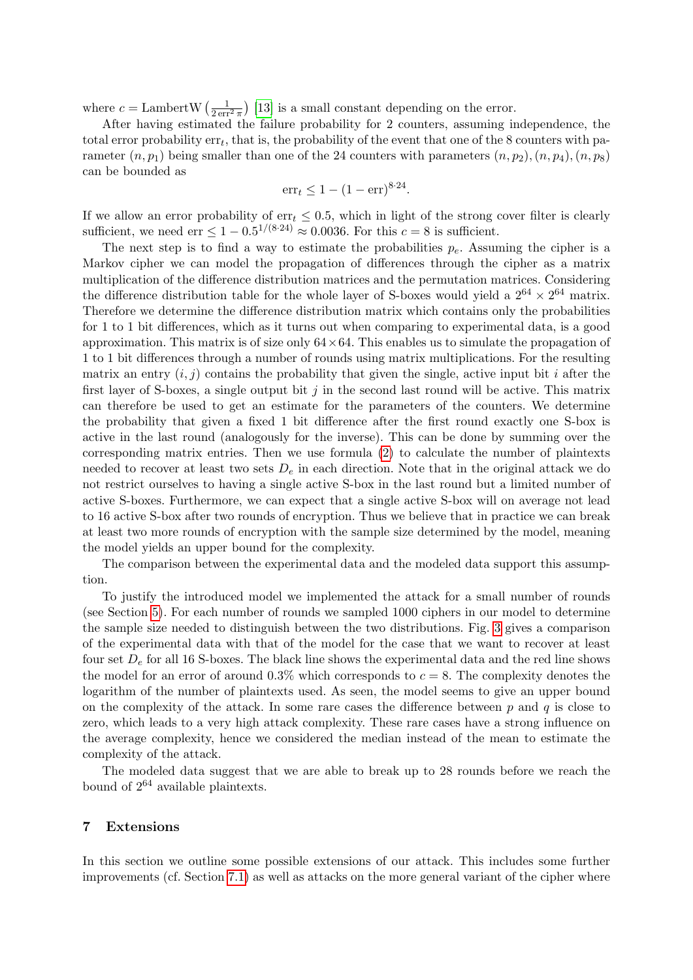where  $c = \text{LambertW} \left( \frac{1}{2 \text{err}^2 \pi} \right)$  [\[13\]](#page-14-11) is a small constant depending on the error.

After having estimated the failure probability for 2 counters, assuming independence, the total error probability  $err_t$ , that is, the probability of the event that one of the 8 counters with parameter  $(n, p_1)$  being smaller than one of the 24 counters with parameters  $(n, p_2), (n, p_4), (n, p_8)$ can be bounded as

$$
err_t \le 1 - (1 - err)^{8 \cdot 24}.
$$

If we allow an error probability of  $err_t \leq 0.5$ , which in light of the strong cover filter is clearly sufficient, we need err  $\leq 1 - 0.5^{1/(8 \cdot 24)} \approx 0.0036$ . For this  $c = 8$  is sufficient.

The next step is to find a way to estimate the probabilities  $p_e$ . Assuming the cipher is a Markov cipher we can model the propagation of differences through the cipher as a matrix multiplication of the difference distribution matrices and the permutation matrices. Considering the difference distribution table for the whole layer of S-boxes would yield a  $2^{64} \times 2^{64}$  matrix. Therefore we determine the difference distribution matrix which contains only the probabilities for 1 to 1 bit differences, which as it turns out when comparing to experimental data, is a good approximation. This matrix is of size only  $64 \times 64$ . This enables us to simulate the propagation of 1 to 1 bit differences through a number of rounds using matrix multiplications. For the resulting matrix an entry  $(i, j)$  contains the probability that given the single, active input bit i after the first layer of S-boxes, a single output bit  $j$  in the second last round will be active. This matrix can therefore be used to get an estimate for the parameters of the counters. We determine the probability that given a fixed 1 bit difference after the first round exactly one S-box is active in the last round (analogously for the inverse). This can be done by summing over the corresponding matrix entries. Then we use formula [\(2\)](#page-10-2) to calculate the number of plaintexts needed to recover at least two sets  $D_e$  in each direction. Note that in the original attack we do not restrict ourselves to having a single active S-box in the last round but a limited number of active S-boxes. Furthermore, we can expect that a single active S-box will on average not lead to 16 active S-box after two rounds of encryption. Thus we believe that in practice we can break at least two more rounds of encryption with the sample size determined by the model, meaning the model yields an upper bound for the complexity.

The comparison between the experimental data and the modeled data support this assumption.

To justify the introduced model we implemented the attack for a small number of rounds (see Section [5\)](#page-7-0). For each number of rounds we sampled 1000 ciphers in our model to determine the sample size needed to distinguish between the two distributions. Fig. [3](#page-12-0) gives a comparison of the experimental data with that of the model for the case that we want to recover at least four set  $D_e$  for all 16 S-boxes. The black line shows the experimental data and the red line shows the model for an error of around  $0.3\%$  which corresponds to  $c = 8$ . The complexity denotes the logarithm of the number of plaintexts used. As seen, the model seems to give an upper bound on the complexity of the attack. In some rare cases the difference between  $p$  and  $q$  is close to zero, which leads to a very high attack complexity. These rare cases have a strong influence on the average complexity, hence we considered the median instead of the mean to estimate the complexity of the attack.

The modeled data suggest that we are able to break up to 28 rounds before we reach the bound of  $2^{64}$  available plaintexts.

### <span id="page-11-0"></span>7 Extensions

In this section we outline some possible extensions of our attack. This includes some further improvements (cf. Section [7.1\)](#page-12-1) as well as attacks on the more general variant of the cipher where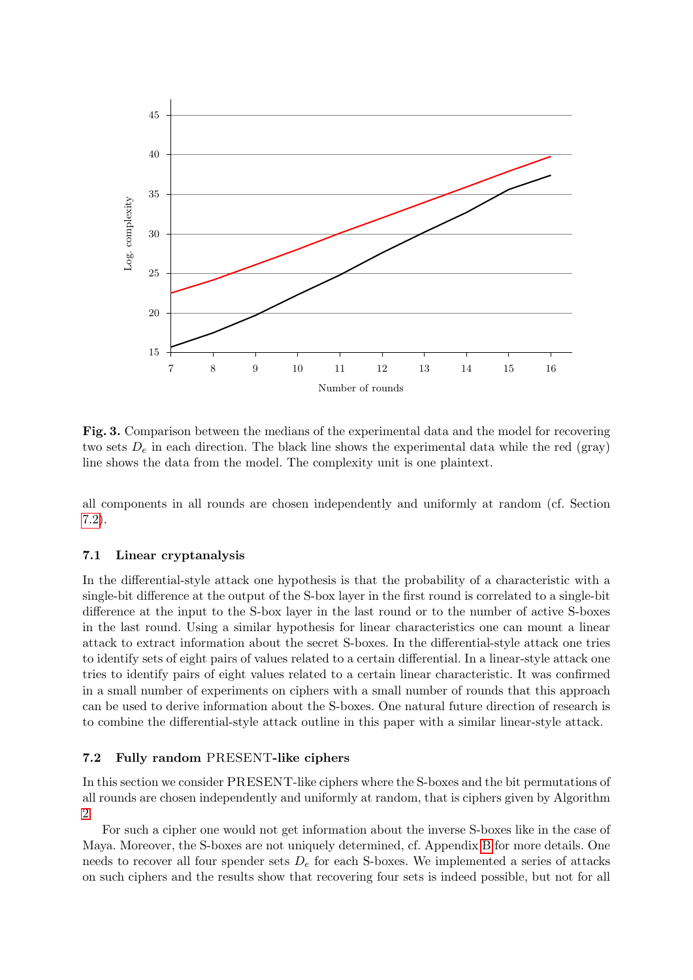

<span id="page-12-0"></span>Fig. 3. Comparison between the medians of the experimental data and the model for recovering two sets  $D_e$  in each direction. The black line shows the experimental data while the red (gray) line shows the data from the model. The complexity unit is one plaintext.

all components in all rounds are chosen independently and uniformly at random (cf. Section [7.2\)](#page-12-2).

### <span id="page-12-1"></span>7.1 Linear cryptanalysis

In the differential-style attack one hypothesis is that the probability of a characteristic with a single-bit difference at the output of the S-box layer in the first round is correlated to a single-bit difference at the input to the S-box layer in the last round or to the number of active S-boxes in the last round. Using a similar hypothesis for linear characteristics one can mount a linear attack to extract information about the secret S-boxes. In the differential-style attack one tries to identify sets of eight pairs of values related to a certain differential. In a linear-style attack one tries to identify pairs of eight values related to a certain linear characteristic. It was confirmed in a small number of experiments on ciphers with a small number of rounds that this approach can be used to derive information about the S-boxes. One natural future direction of research is to combine the differential-style attack outline in this paper with a similar linear-style attack.

### <span id="page-12-2"></span>7.2 Fully random PRESENT-like ciphers

In this section we consider PRESENT-like ciphers where the S-boxes and the bit permutations of all rounds are chosen independently and uniformly at random, that is ciphers given by Algorithm [2.](#page-3-1)

For such a cipher one would not get information about the inverse S-boxes like in the case of Maya. Moreover, the S-boxes are not uniquely determined, cf. Appendix [B](#page-15-1) for more details. One needs to recover all four spender sets  $D_e$  for each S-boxes. We implemented a series of attacks on such ciphers and the results show that recovering four sets is indeed possible, but not for all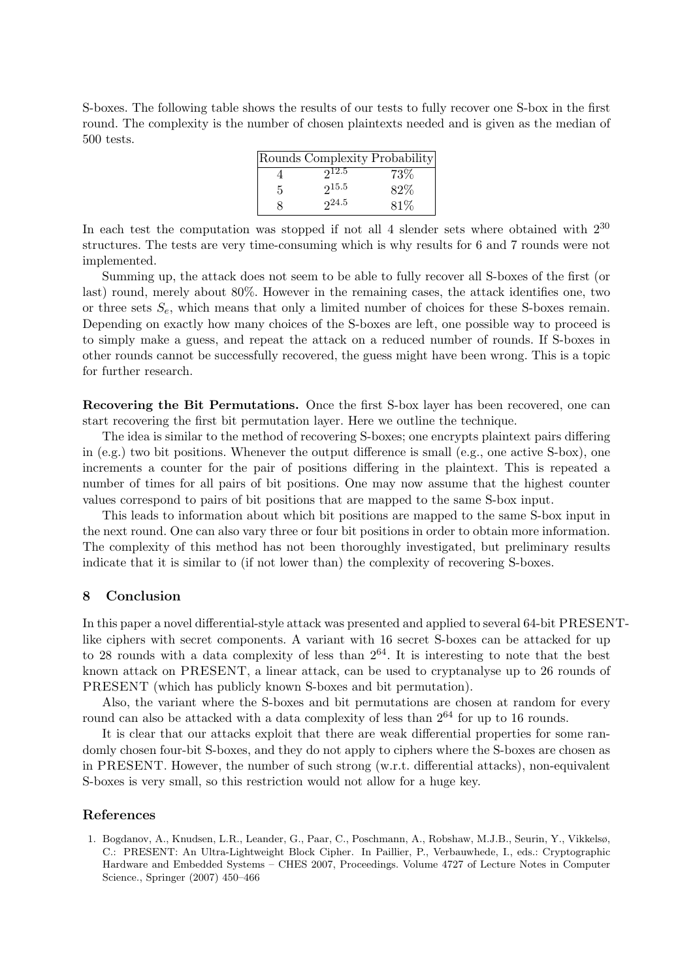S-boxes. The following table shows the results of our tests to fully recover one S-box in the first round. The complexity is the number of chosen plaintexts needed and is given as the median of 500 tests.

|   | Rounds Complexity Probability |        |
|---|-------------------------------|--------|
|   | 212.5                         | $73\%$ |
| 5 | 215.5                         | 82\%   |
|   | 24.5                          | 81\%   |

In each test the computation was stopped if not all 4 slender sets where obtained with  $2^{30}$ structures. The tests are very time-consuming which is why results for 6 and 7 rounds were not implemented.

Summing up, the attack does not seem to be able to fully recover all S-boxes of the first (or last) round, merely about 80%. However in the remaining cases, the attack identifies one, two or three sets  $S_e$ , which means that only a limited number of choices for these S-boxes remain. Depending on exactly how many choices of the S-boxes are left, one possible way to proceed is to simply make a guess, and repeat the attack on a reduced number of rounds. If S-boxes in other rounds cannot be successfully recovered, the guess might have been wrong. This is a topic for further research.

Recovering the Bit Permutations. Once the first S-box layer has been recovered, one can start recovering the first bit permutation layer. Here we outline the technique.

The idea is similar to the method of recovering S-boxes; one encrypts plaintext pairs differing in (e.g.) two bit positions. Whenever the output difference is small (e.g., one active S-box), one increments a counter for the pair of positions differing in the plaintext. This is repeated a number of times for all pairs of bit positions. One may now assume that the highest counter values correspond to pairs of bit positions that are mapped to the same S-box input.

This leads to information about which bit positions are mapped to the same S-box input in the next round. One can also vary three or four bit positions in order to obtain more information. The complexity of this method has not been thoroughly investigated, but preliminary results indicate that it is similar to (if not lower than) the complexity of recovering S-boxes.

#### <span id="page-13-1"></span>8 Conclusion

In this paper a novel differential-style attack was presented and applied to several 64-bit PRESENTlike ciphers with secret components. A variant with 16 secret S-boxes can be attacked for up to 28 rounds with a data complexity of less than  $2^{64}$ . It is interesting to note that the best known attack on PRESENT, a linear attack, can be used to cryptanalyse up to 26 rounds of PRESENT (which has publicly known S-boxes and bit permutation).

Also, the variant where the S-boxes and bit permutations are chosen at random for every round can also be attacked with a data complexity of less than  $2^{64}$  for up to 16 rounds.

It is clear that our attacks exploit that there are weak differential properties for some randomly chosen four-bit S-boxes, and they do not apply to ciphers where the S-boxes are chosen as in PRESENT. However, the number of such strong (w.r.t. differential attacks), non-equivalent S-boxes is very small, so this restriction would not allow for a huge key.

#### References

<span id="page-13-0"></span>1. Bogdanov, A., Knudsen, L.R., Leander, G., Paar, C., Poschmann, A., Robshaw, M.J.B., Seurin, Y., Vikkelsø, C.: PRESENT: An Ultra-Lightweight Block Cipher. In Paillier, P., Verbauwhede, I., eds.: Cryptographic Hardware and Embedded Systems – CHES 2007, Proceedings. Volume 4727 of Lecture Notes in Computer Science., Springer (2007) 450–466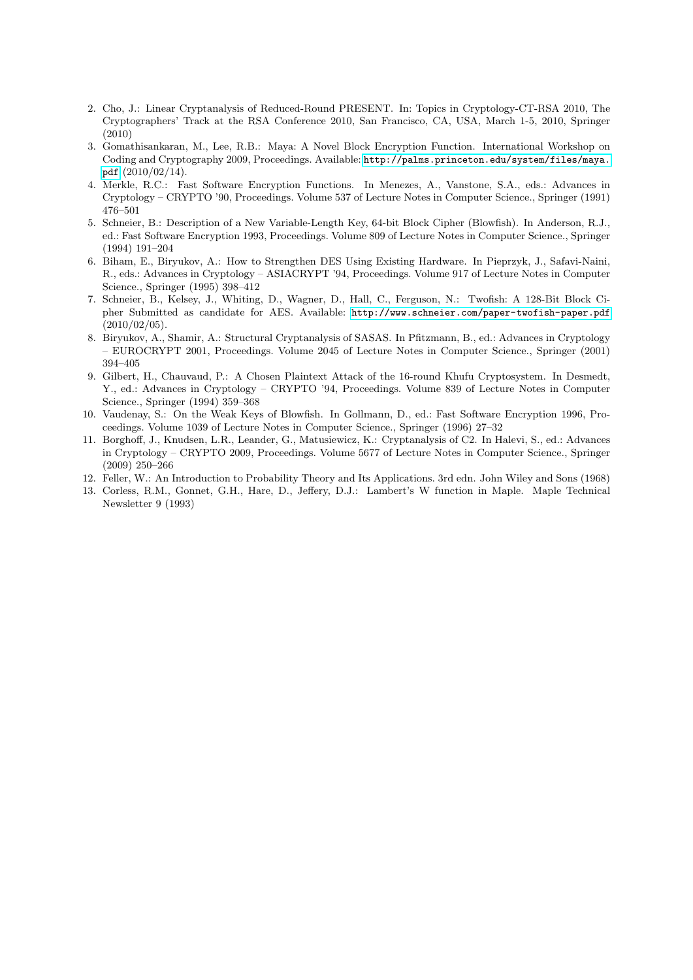- <span id="page-14-0"></span>2. Cho, J.: Linear Cryptanalysis of Reduced-Round PRESENT. In: Topics in Cryptology-CT-RSA 2010, The Cryptographers' Track at the RSA Conference 2010, San Francisco, CA, USA, March 1-5, 2010, Springer (2010)
- <span id="page-14-1"></span>3. Gomathisankaran, M., Lee, R.B.: Maya: A Novel Block Encryption Function. International Workshop on Coding and Cryptography 2009, Proceedings. Available: [http://palms.princeton.edu/system/files/maya.](http://palms.princeton.edu/system/files/maya.pdf) [pdf](http://palms.princeton.edu/system/files/maya.pdf) (2010/02/14).
- <span id="page-14-2"></span>4. Merkle, R.C.: Fast Software Encryption Functions. In Menezes, A., Vanstone, S.A., eds.: Advances in Cryptology – CRYPTO '90, Proceedings. Volume 537 of Lecture Notes in Computer Science., Springer (1991) 476–501
- <span id="page-14-3"></span>5. Schneier, B.: Description of a New Variable-Length Key, 64-bit Block Cipher (Blowfish). In Anderson, R.J., ed.: Fast Software Encryption 1993, Proceedings. Volume 809 of Lecture Notes in Computer Science., Springer (1994) 191–204
- <span id="page-14-4"></span>6. Biham, E., Biryukov, A.: How to Strengthen DES Using Existing Hardware. In Pieprzyk, J., Safavi-Naini, R., eds.: Advances in Cryptology – ASIACRYPT '94, Proceedings. Volume 917 of Lecture Notes in Computer Science., Springer (1995) 398–412
- <span id="page-14-5"></span>7. Schneier, B., Kelsey, J., Whiting, D., Wagner, D., Hall, C., Ferguson, N.: Twofish: A 128-Bit Block Cipher Submitted as candidate for AES. Available: <http://www.schneier.com/paper-twofish-paper.pdf>  $(2010/02/05).$
- <span id="page-14-6"></span>8. Biryukov, A., Shamir, A.: Structural Cryptanalysis of SASAS. In Pfitzmann, B., ed.: Advances in Cryptology – EUROCRYPT 2001, Proceedings. Volume 2045 of Lecture Notes in Computer Science., Springer (2001) 394–405
- <span id="page-14-7"></span>9. Gilbert, H., Chauvaud, P.: A Chosen Plaintext Attack of the 16-round Khufu Cryptosystem. In Desmedt, Y., ed.: Advances in Cryptology – CRYPTO '94, Proceedings. Volume 839 of Lecture Notes in Computer Science., Springer (1994) 359–368
- <span id="page-14-8"></span>10. Vaudenay, S.: On the Weak Keys of Blowfish. In Gollmann, D., ed.: Fast Software Encryption 1996, Proceedings. Volume 1039 of Lecture Notes in Computer Science., Springer (1996) 27–32
- <span id="page-14-9"></span>11. Borghoff, J., Knudsen, L.R., Leander, G., Matusiewicz, K.: Cryptanalysis of C2. In Halevi, S., ed.: Advances in Cryptology – CRYPTO 2009, Proceedings. Volume 5677 of Lecture Notes in Computer Science., Springer (2009) 250–266
- <span id="page-14-10"></span>12. Feller, W.: An Introduction to Probability Theory and Its Applications. 3rd edn. John Wiley and Sons (1968)
- <span id="page-14-11"></span>13. Corless, R.M., Gonnet, G.H., Hare, D., Jeffery, D.J.: Lambert's W function in Maple. Maple Technical Newsletter 9 (1993)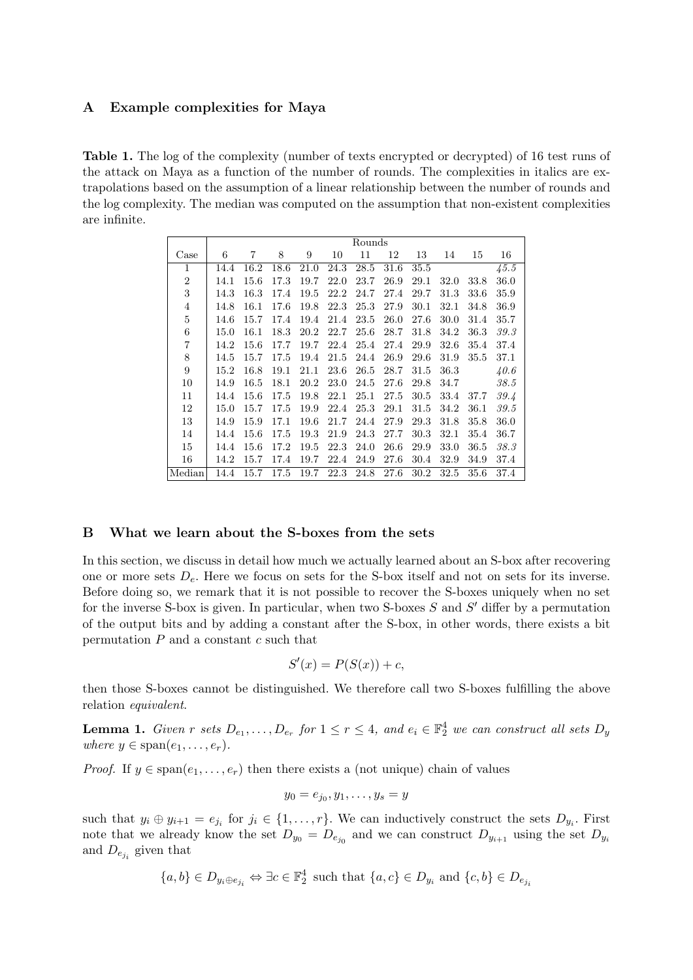### <span id="page-15-3"></span>A Example complexities for Maya

<span id="page-15-2"></span>Table 1. The log of the complexity (number of texts encrypted or decrypted) of 16 test runs of the attack on Maya as a function of the number of rounds. The complexities in italics are extrapolations based on the assumption of a linear relationship between the number of rounds and the log complexity. The median was computed on the assumption that non-existent complexities are infinite.

|                | Rounds |      |      |      |      |      |      |      |      |      |      |
|----------------|--------|------|------|------|------|------|------|------|------|------|------|
| Case           | 6      | 7    | 8    | 9    | 10   | 11   | 12   | 13   | 14   | 15   | 16   |
| 1              | 14.4   | 16.2 | 18.6 | 21.0 | 24.3 | 28.5 | 31.6 | 35.5 |      |      | 45.5 |
| $\overline{2}$ | 14.1   | 15.6 | 17.3 | 19.7 | 22.0 | 23.7 | 26.9 | 29.1 | 32.0 | 33.8 | 36.0 |
| 3              | 14.3   | 16.3 | 17.4 | 19.5 | 22.2 | 24.7 | 27.4 | 29.7 | 31.3 | 33.6 | 35.9 |
| $\overline{4}$ | 14.8   | 16.1 | 17.6 | 19.8 | 22.3 | 25.3 | 27.9 | 30.1 | 32.1 | 34.8 | 36.9 |
| $\overline{5}$ | 14.6   | 15.7 | 17.4 | 19.4 | 21.4 | 23.5 | 26.0 | 27.6 | 30.0 | 31.4 | 35.7 |
| 6              | 15.0   | 16.1 | 18.3 | 20.2 | 22.7 | 25.6 | 28.7 | 31.8 | 34.2 | 36.3 | 39.3 |
| 7              | 14.2   | 15.6 | 17.7 | 19.7 | 22.4 | 25.4 | 27.4 | 29.9 | 32.6 | 35.4 | 37.4 |
| 8              | 14.5   | 15.7 | 17.5 | 19.4 | 21.5 | 24.4 | 26.9 | 29.6 | 31.9 | 35.5 | 37.1 |
| 9              | 15.2   | 16.8 | 19.1 | 21.1 | 23.6 | 26.5 | 28.7 | 31.5 | 36.3 |      | 40.6 |
| 10             | 14.9   | 16.5 | 18.1 | 20.2 | 23.0 | 24.5 | 27.6 | 29.8 | 34.7 |      | 38.5 |
| 11             | 14.4   | 15.6 | 17.5 | 19.8 | 22.1 | 25.1 | 27.5 | 30.5 | 33.4 | 37.7 | 39.4 |
| 12             | 15.0   | 15.7 | 17.5 | 19.9 | 22.4 | 25.3 | 29.1 | 31.5 | 34.2 | 36.1 | 39.5 |
| 13             | 14.9   | 15.9 | 17.1 | 19.6 | 21.7 | 24.4 | 27.9 | 29.3 | 31.8 | 35.8 | 36.0 |
| 14             | 14.4   | 15.6 | 17.5 | 19.3 | 21.9 | 24.3 | 27.7 | 30.3 | 32.1 | 35.4 | 36.7 |
| 15             | 14.4   | 15.6 | 17.2 | 19.5 | 22.3 | 24.0 | 26.6 | 29.9 | 33.0 | 36.5 | 38.3 |
| 16             | 14.2   | 15.7 | 17.4 | 19.7 | 22.4 | 24.9 | 27.6 | 30.4 | 32.9 | 34.9 | 37.4 |
| Median         | 14.4   | 15.7 | 17.5 | 19.7 | 22.3 | 24.8 | 27.6 | 30.2 | 32.5 | 35.6 | 37.4 |

#### <span id="page-15-1"></span>B What we learn about the S-boxes from the sets

In this section, we discuss in detail how much we actually learned about an S-box after recovering one or more sets  $D_e$ . Here we focus on sets for the S-box itself and not on sets for its inverse. Before doing so, we remark that it is not possible to recover the S-boxes uniquely when no set for the inverse S-box is given. In particular, when two S-boxes  $S$  and  $S'$  differ by a permutation of the output bits and by adding a constant after the S-box, in other words, there exists a bit permutation  $P$  and a constant  $c$  such that

$$
S'(x) = P(S(x)) + c,
$$

then those S-boxes cannot be distinguished. We therefore call two S-boxes fulfilling the above relation equivalent.

<span id="page-15-0"></span>**Lemma 1.** Given r sets  $D_{e_1}, \ldots, D_{e_r}$  for  $1 \le r \le 4$ , and  $e_i \in \mathbb{F}_2^4$  we can construct all sets  $D_y$ where  $y \in \text{span}(e_1, \ldots, e_r)$ .

*Proof.* If  $y \in \text{span}(e_1, \ldots, e_r)$  then there exists a (not unique) chain of values

$$
y_0=e_{j_0},y_1,\ldots,y_s=y
$$

such that  $y_i \oplus y_{i+1} = e_{j_i}$  for  $j_i \in \{1, ..., r\}$ . We can inductively construct the sets  $D_{y_i}$ . First note that we already know the set  $D_{y_0} = D_{e_{j_0}}$  and we can construct  $D_{y_{i+1}}$  using the set  $D_{y_i}$ and  $D_{e_{j_i}}$  given that

 $\{a,b\}\in D_{y_i\oplus e_{j_i}}\Leftrightarrow \exists c\in \mathbb{F}_2^4\,$  such that  $\{a,c\}\in D_{y_i}$  and  $\{c,b\}\in D_{e_{j_i}}$